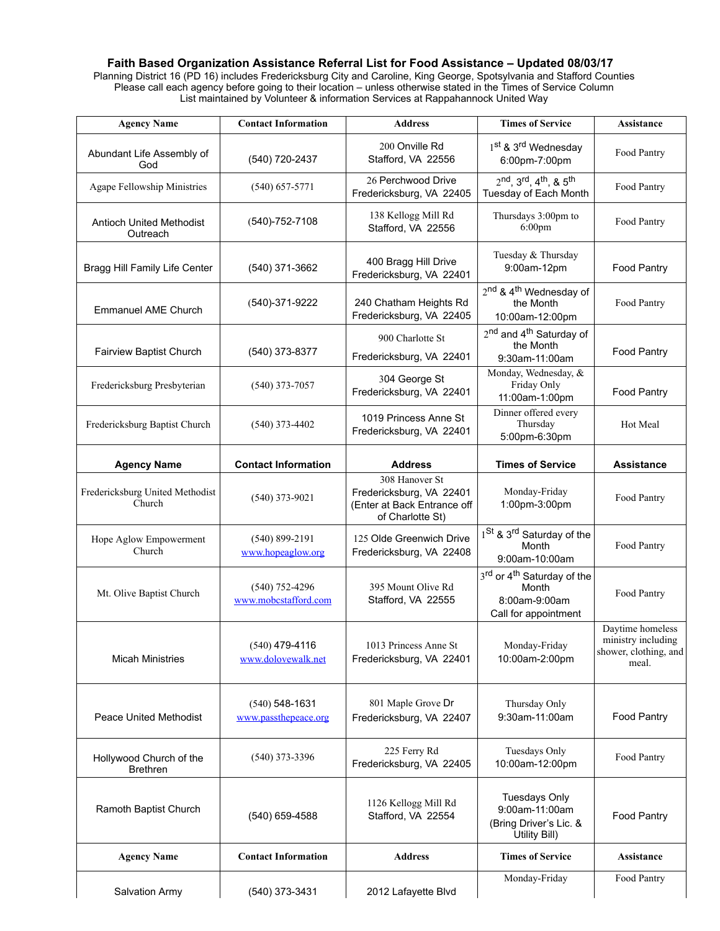## Faith Based Organization Assistance Referral List for Food Assistance – Updated 08/03/17

Planning District 16 (PD 16) includes Fredericksburg City and Caroline, King George, Spotsylvania and Stafford Counties Please call each agency before going to their location – unless otherwise stated in the Times of Service Column List maintained by Volunteer & information Services at Rappahannock United Way

| <b>Agency Name</b>                          | <b>Contact Information</b>               | <b>Address</b>                                                                                | <b>Times of Service</b>                                                                  | <b>Assistance</b>                                                        |
|---------------------------------------------|------------------------------------------|-----------------------------------------------------------------------------------------------|------------------------------------------------------------------------------------------|--------------------------------------------------------------------------|
| Abundant Life Assembly of<br>God            | (540) 720-2437                           | 200 Onville Rd<br>Stafford, VA 22556                                                          | 1 <sup>st</sup> & 3 <sup>rd</sup> Wednesday<br>6:00pm-7:00pm                             | Food Pantry                                                              |
| Agape Fellowship Ministries                 | $(540) 657 - 5771$                       | 26 Perchwood Drive<br>Fredericksburg, VA 22405                                                | $2^{nd}$ , $3^{rd}$ , $4^{th}$ , & $5^{th}$<br>Tuesday of Each Month                     | Food Pantry                                                              |
| <b>Antioch United Methodist</b><br>Outreach | $(540) - 752 - 7108$                     | 138 Kellogg Mill Rd<br>Stafford, VA 22556                                                     | Thursdays 3:00pm to<br>$6:00 \text{pm}$                                                  | Food Pantry                                                              |
| Bragg Hill Family Life Center               | (540) 371-3662                           | 400 Bragg Hill Drive<br>Fredericksburg, VA 22401                                              | Tuesday & Thursday<br>9:00am-12pm                                                        | Food Pantry                                                              |
| <b>Emmanuel AME Church</b>                  | (540)-371-9222                           | 240 Chatham Heights Rd<br>Fredericksburg, VA 22405                                            | 2 <sup>nd</sup> & 4 <sup>th</sup> Wednesday of<br>the Month<br>10:00am-12:00pm           | Food Pantry                                                              |
| <b>Fairview Baptist Church</b>              | (540) 373-8377                           | 900 Charlotte St<br>Fredericksburg, VA 22401                                                  | 2 <sup>nd</sup> and 4 <sup>th</sup> Saturday of<br>the Month<br>9:30am-11:00am           | Food Pantry                                                              |
| Fredericksburg Presbyterian                 | $(540)$ 373-7057                         | 304 George St<br>Fredericksburg, VA 22401                                                     | Monday, Wednesday, &<br>Friday Only<br>11:00am-1:00pm                                    | Food Pantry                                                              |
| Fredericksburg Baptist Church               | $(540)$ 373-4402                         | 1019 Princess Anne St<br>Fredericksburg, VA 22401                                             | Dinner offered every<br>Thursday<br>5:00pm-6:30pm                                        | Hot Meal                                                                 |
| <b>Agency Name</b>                          | <b>Contact Information</b>               | <b>Address</b>                                                                                | <b>Times of Service</b>                                                                  | <b>Assistance</b>                                                        |
| Fredericksburg United Methodist<br>Church   | $(540)$ 373-9021                         | 308 Hanover St<br>Fredericksburg, VA 22401<br>(Enter at Back Entrance off<br>of Charlotte St) | Monday-Friday<br>1:00pm-3:00pm                                                           | Food Pantry                                                              |
| Hope Aglow Empowerment<br>Church            | $(540) 899 - 2191$<br>www.hopeaglow.org  | 125 Olde Greenwich Drive<br>Fredericksburg, VA 22408                                          | 1 <sup>St</sup> & 3 <sup>rd</sup> Saturday of the<br>Month<br>9:00am-10:00am             | Food Pantry                                                              |
| Mt. Olive Baptist Church                    | $(540)$ 752-4296<br>www.mobcstafford.com | 395 Mount Olive Rd<br>Stafford, VA 22555                                                      | 3rd or 4 <sup>th</sup> Saturday of the<br>Month<br>8:00am-9:00am<br>Call for appointment | Food Pantry                                                              |
| <b>Micah Ministries</b>                     | $(540)$ 479-4116<br>www.dolovewalk.net   | 1013 Princess Anne St<br>Fredericksburg, VA 22401                                             | Monday-Friday<br>10:00am-2:00pm                                                          | Daytime homeless<br>ministry including<br>shower, clothing, and<br>meal. |
| <b>Peace United Methodist</b>               | $(540)$ 548-1631<br>www.passthepeace.org | 801 Maple Grove Dr<br>Fredericksburg, VA 22407                                                | Thursday Only<br>9:30am-11:00am                                                          | Food Pantry                                                              |
| Hollywood Church of the<br><b>Brethren</b>  | $(540)$ 373-3396                         | 225 Ferry Rd<br>Fredericksburg, VA 22405                                                      | Tuesdays Only<br>10:00am-12:00pm                                                         | Food Pantry                                                              |
| Ramoth Baptist Church                       | (540) 659-4588                           | 1126 Kellogg Mill Rd<br>Stafford, VA 22554                                                    | <b>Tuesdays Only</b><br>9:00am-11:00am<br>(Bring Driver's Lic. &<br>Utility Bill)        | Food Pantry                                                              |
| <b>Agency Name</b>                          | <b>Contact Information</b>               | <b>Address</b>                                                                                | <b>Times of Service</b>                                                                  | Assistance                                                               |
| Salvation Army                              | (540) 373-3431                           | 2012 Lafayette Blvd                                                                           | Monday-Friday                                                                            | Food Pantry                                                              |